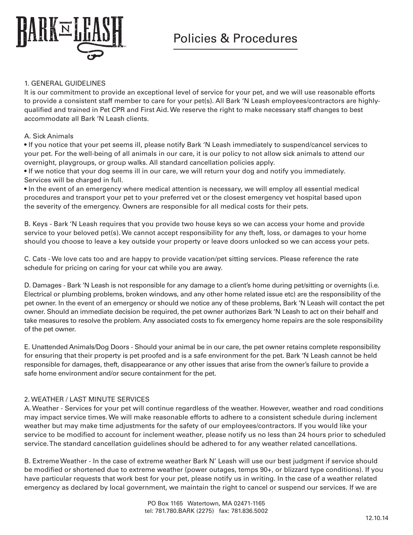

### 1. GENERAL GUIDELINES

It is our commitment to provide an exceptional level of service for your pet, and we will use reasonable efforts to provide a consistent staff member to care for your pet(s). All Bark 'N Leash employees/contractors are highlyqualified and trained in Pet CPR and First Aid. We reserve the right to make necessary staff changes to best accommodate all Bark 'N Leash clients.

## A. Sick Animals

• If you notice that your pet seems ill, please notify Bark 'N Leash immediately to suspend/cancel services to your pet. For the well-being of all animals in our care, it is our policy to not allow sick animals to attend our overnight, playgroups, or group walks. All standard cancellation policies apply.

• If we notice that your dog seems ill in our care, we will return your dog and notify you immediately. Services will be charged in full.

• In the event of an emergency where medical attention is necessary, we will employ all essential medical procedures and transport your pet to your preferred vet or the closest emergency vet hospital based upon the severity of the emergency. Owners are responsible for all medical costs for their pets.

B. Keys - Bark 'N Leash requires that you provide two house keys so we can access your home and provide service to your beloved pet(s). We cannot accept responsibility for any theft, loss, or damages to your home should you choose to leave a key outside your property or leave doors unlocked so we can access your pets.

C. Cats - We love cats too and are happy to provide vacation/pet sitting services. Please reference the rate schedule for pricing on caring for your cat while you are away.

D. Damages - Bark 'N Leash is not responsible for any damage to a client's home during pet/sitting or overnights (i.e. Electrical or plumbing problems, broken windows, and any other home related issue etc) are the responsibility of the pet owner. In the event of an emergency or should we notice any of these problems, Bark 'N Leash will contact the pet owner. Should an immediate decision be required, the pet owner authorizes Bark 'N Leash to act on their behalf and take measures to resolve the problem. Any associated costs to fix emergency home repairs are the sole responsibility of the pet owner.

E. Unattended Animals/Dog Doors - Should your animal be in our care, the pet owner retains complete responsibility for ensuring that their property is pet proofed and is a safe environment for the pet. Bark 'N Leash cannot be held responsible for damages, theft, disappearance or any other issues that arise from the owner's failure to provide a safe home environment and/or secure containment for the pet.

# 2. WEATHER / LAST MINUTE SERVICES

A. Weather - Services for your pet will continue regardless of the weather. However, weather and road conditions may impact service times. We will make reasonable efforts to adhere to a consistent schedule during inclement weather but may make time adjustments for the safety of our employees/contractors. If you would like your service to be modified to account for inclement weather, please notify us no less than 24 hours prior to scheduled service. The standard cancellation guidelines should be adhered to for any weather related cancellations.

B. Extreme Weather - In the case of extreme weather Bark N' Leash will use our best judgment if service should be modified or shortened due to extreme weather (power outages, temps 90+, or blizzard type conditions). If you have particular requests that work best for your pet, please notify us in writing. In the case of a weather related emergency as declared by local government, we maintain the right to cancel or suspend our services. If we are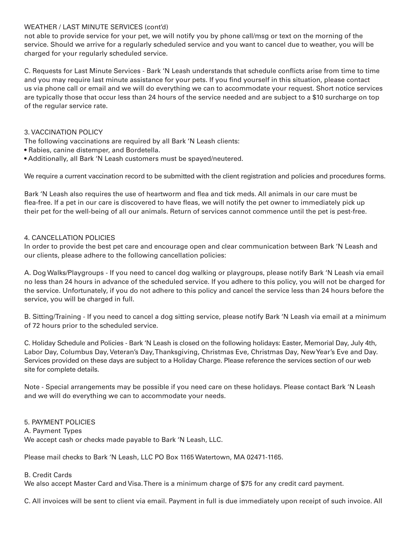### WEATHER / LAST MINUTE SERVICES (cont'd)

not able to provide service for your pet, we will notify you by phone call/msg or text on the morning of the service. Should we arrive for a regularly scheduled service and you want to cancel due to weather, you will be charged for your regularly scheduled service.

C. Requests for Last Minute Services - Bark 'N Leash understands that schedule conflicts arise from time to time and you may require last minute assistance for your pets. If you find yourself in this situation, please contact us via phone call or email and we will do everything we can to accommodate your request. Short notice services are typically those that occur less than 24 hours of the service needed and are subject to a \$10 surcharge on top of the regular service rate.

### 3. VACCINATION POLICY

The following vaccinations are required by all Bark 'N Leash clients:

- Rabies, canine distemper, and Bordetella.
- Additionally, all Bark 'N Leash customers must be spayed/neutered.

We require a current vaccination record to be submitted with the client registration and policies and procedures forms.

Bark 'N Leash also requires the use of heartworm and flea and tick meds. All animals in our care must be flea-free. If a pet in our care is discovered to have fleas, we will notify the pet owner to immediately pick up their pet for the well-being of all our animals. Return of services cannot commence until the pet is pest-free.

## 4. CANCELLATION POLICIES

In order to provide the best pet care and encourage open and clear communication between Bark 'N Leash and our clients, please adhere to the following cancellation policies:

A. Dog Walks/Playgroups - If you need to cancel dog walking or playgroups, please notify Bark 'N Leash via email no less than 24 hours in advance of the scheduled service. If you adhere to this policy, you will not be charged for the service. Unfortunately, if you do not adhere to this policy and cancel the service less than 24 hours before the service, you will be charged in full.

B. Sitting/Training - If you need to cancel a dog sitting service, please notify Bark 'N Leash via email at a minimum of 72 hours prior to the scheduled service.

C. Holiday Schedule and Policies - Bark 'N Leash is closed on the following holidays: Easter, Memorial Day, July 4th, Labor Day, Columbus Day, Veteran's Day, Thanksgiving, Christmas Eve, Christmas Day, New Year's Eve and Day. Services provided on these days are subject to a Holiday Charge. Please reference the services section of our web site for complete details.

Note - Special arrangements may be possible if you need care on these holidays. Please contact Bark 'N Leash and we will do everything we can to accommodate your needs.

### 5. PAYMENT POLICIES

A. Payment Types We accept cash or checks made payable to Bark 'N Leash, LLC.

Please mail checks to Bark 'N Leash, LLC PO Box 1165 Watertown, MA 02471-1165.

### B. Credit Cards

We also accept Master Card and Visa. There is a minimum charge of \$75 for any credit card payment.

C. All invoices will be sent to client via email. Payment in full is due immediately upon receipt of such invoice. All